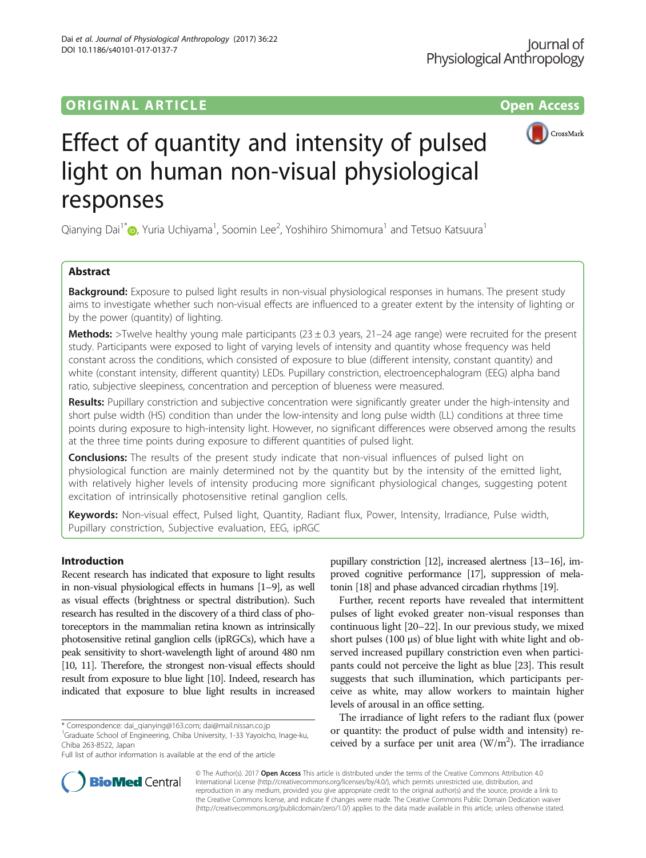DOI 10.1186/s40101-017-0137-7

Dai et al. Journal of Physiological Anthropology (2017) 36:22



# Effect of quantity and intensity of pulsed light on human non-visual physiological responses

Qianying Dai<sup>1\*</sup>�, Yuria Uchiyama<sup>1</sup>, Soomin Lee<sup>2</sup>, Yoshihiro Shimomura<sup>1</sup> and Tetsuo Katsuura<sup>1</sup>

# Abstract

**Background:** Exposure to pulsed light results in non-visual physiological responses in humans. The present study aims to investigate whether such non-visual effects are influenced to a greater extent by the intensity of lighting or by the power (quantity) of lighting.

**Methods:** >Twelve healthy young male participants (23  $\pm$  0.3 years, 21–24 age range) were recruited for the present study. Participants were exposed to light of varying levels of intensity and quantity whose frequency was held constant across the conditions, which consisted of exposure to blue (different intensity, constant quantity) and white (constant intensity, different quantity) LEDs. Pupillary constriction, electroencephalogram (EEG) alpha band ratio, subjective sleepiness, concentration and perception of blueness were measured.

Results: Pupillary constriction and subjective concentration were significantly greater under the high-intensity and short pulse width (HS) condition than under the low-intensity and long pulse width (LL) conditions at three time points during exposure to high-intensity light. However, no significant differences were observed among the results at the three time points during exposure to different quantities of pulsed light.

**Conclusions:** The results of the present study indicate that non-visual influences of pulsed light on physiological function are mainly determined not by the quantity but by the intensity of the emitted light, with relatively higher levels of intensity producing more significant physiological changes, suggesting potent excitation of intrinsically photosensitive retinal ganglion cells.

Keywords: Non-visual effect, Pulsed light, Quantity, Radiant flux, Power, Intensity, Irradiance, Pulse width, Pupillary constriction, Subjective evaluation, EEG, ipRGC

# Introduction

Recent research has indicated that exposure to light results in non-visual physiological effects in humans [\[1](#page-7-0)–[9](#page-7-0)], as well as visual effects (brightness or spectral distribution). Such research has resulted in the discovery of a third class of photoreceptors in the mammalian retina known as intrinsically photosensitive retinal ganglion cells (ipRGCs), which have a peak sensitivity to short-wavelength light of around 480 nm [[10, 11](#page-7-0)]. Therefore, the strongest non-visual effects should result from exposure to blue light [\[10](#page-7-0)]. Indeed, research has indicated that exposure to blue light results in increased

\* Correspondence: [dai\\_qianying@163.com;](mailto:dai_qianying@163.com) [dai@mail.nissan.co.jp](mailto:dai@mail.nissan.co.jp) <sup>1</sup>

<sup>1</sup>Graduate School of Engineering, Chiba University, 1-33 Yayoicho, Inage-ku, Chiba 263-8522, Japan

Full list of author information is available at the end of the article

pupillary constriction [\[12\]](#page-7-0), increased alertness [\[13](#page-7-0)–[16](#page-7-0)], improved cognitive performance [[17\]](#page-7-0), suppression of melatonin [[18](#page-7-0)] and phase advanced circadian rhythms [\[19](#page-7-0)].

Further, recent reports have revealed that intermittent pulses of light evoked greater non-visual responses than continuous light [\[20](#page-7-0)–[22](#page-7-0)]. In our previous study, we mixed short pulses  $(100 \mu s)$  of blue light with white light and observed increased pupillary constriction even when participants could not perceive the light as blue [[23](#page-7-0)]. This result suggests that such illumination, which participants perceive as white, may allow workers to maintain higher levels of arousal in an office setting.

The irradiance of light refers to the radiant flux (power or quantity: the product of pulse width and intensity) received by a surface per unit area  $(W/m<sup>2</sup>)$ . The irradiance



© The Author(s). 2017 **Open Access** This article is distributed under the terms of the Creative Commons Attribution 4.0 International License [\(http://creativecommons.org/licenses/by/4.0/](http://creativecommons.org/licenses/by/4.0/)), which permits unrestricted use, distribution, and reproduction in any medium, provided you give appropriate credit to the original author(s) and the source, provide a link to the Creative Commons license, and indicate if changes were made. The Creative Commons Public Domain Dedication waiver [\(http://creativecommons.org/publicdomain/zero/1.0/](http://creativecommons.org/publicdomain/zero/1.0/)) applies to the data made available in this article, unless otherwise stated.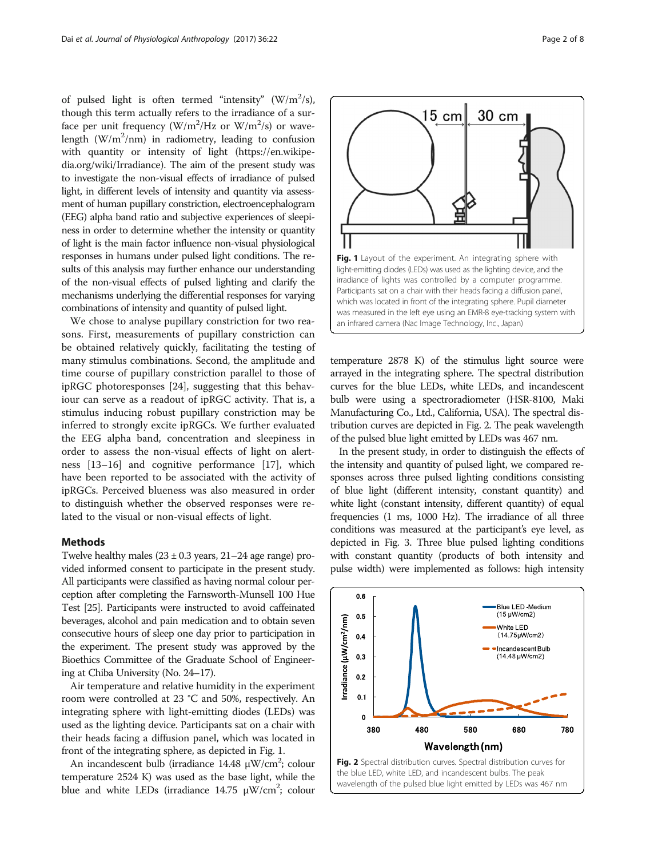of pulsed light is often termed "intensity"  $(W/m^2/s)$ , though this term actually refers to the irradiance of a surface per unit frequency  $(W/m^2/Hz$  or  $W/m^2/s$ ) or wavelength  $(W/m^2/nm)$  in radiometry, leading to confusion with quantity or intensity of light [\(https://en.wikipe](https://en.wikipedia.org/wiki/Irradiance)[dia.org/wiki/Irradiance\)](https://en.wikipedia.org/wiki/Irradiance). The aim of the present study was to investigate the non-visual effects of irradiance of pulsed light, in different levels of intensity and quantity via assessment of human pupillary constriction, electroencephalogram (EEG) alpha band ratio and subjective experiences of sleepiness in order to determine whether the intensity or quantity of light is the main factor influence non-visual physiological responses in humans under pulsed light conditions. The results of this analysis may further enhance our understanding of the non-visual effects of pulsed lighting and clarify the mechanisms underlying the differential responses for varying combinations of intensity and quantity of pulsed light.

We chose to analyse pupillary constriction for two reasons. First, measurements of pupillary constriction can be obtained relatively quickly, facilitating the testing of many stimulus combinations. Second, the amplitude and time course of pupillary constriction parallel to those of ipRGC photoresponses [\[24\]](#page-7-0), suggesting that this behaviour can serve as a readout of ipRGC activity. That is, a stimulus inducing robust pupillary constriction may be inferred to strongly excite ipRGCs. We further evaluated the EEG alpha band, concentration and sleepiness in order to assess the non-visual effects of light on alertness [[13](#page-7-0)–[16](#page-7-0)] and cognitive performance [[17](#page-7-0)], which have been reported to be associated with the activity of ipRGCs. Perceived blueness was also measured in order to distinguish whether the observed responses were related to the visual or non-visual effects of light.

#### Methods

Twelve healthy males  $(23 \pm 0.3$  years,  $21-24$  age range) provided informed consent to participate in the present study. All participants were classified as having normal colour perception after completing the Farnsworth-Munsell 100 Hue Test [\[25\]](#page-7-0). Participants were instructed to avoid caffeinated beverages, alcohol and pain medication and to obtain seven consecutive hours of sleep one day prior to participation in the experiment. The present study was approved by the Bioethics Committee of the Graduate School of Engineering at Chiba University (No. 24–17).

Air temperature and relative humidity in the experiment room were controlled at 23 °C and 50%, respectively. An integrating sphere with light-emitting diodes (LEDs) was used as the lighting device. Participants sat on a chair with their heads facing a diffusion panel, which was located in front of the integrating sphere, as depicted in Fig. 1.

An incandescent bulb (irradiance  $14.48 \mu W/cm^2$ ; colour temperature 2524 K) was used as the base light, while the blue and white LEDs (irradiance  $14.75 \mu W/cm^2$ ; colour

temperature 2878 K) of the stimulus light source were arrayed in the integrating sphere. The spectral distribution curves for the blue LEDs, white LEDs, and incandescent bulb were using a spectroradiometer (HSR-8100, Maki Manufacturing Co., Ltd., California, USA). The spectral distribution curves are depicted in Fig. 2. The peak wavelength of the pulsed blue light emitted by LEDs was 467 nm.

In the present study, in order to distinguish the effects of the intensity and quantity of pulsed light, we compared responses across three pulsed lighting conditions consisting of blue light (different intensity, constant quantity) and white light (constant intensity, different quantity) of equal frequencies (1 ms, 1000 Hz). The irradiance of all three conditions was measured at the participant's eye level, as depicted in Fig. [3.](#page-2-0) Three blue pulsed lighting conditions with constant quantity (products of both intensity and pulse width) were implemented as follows: high intensity



![](_page_1_Figure_10.jpeg)

![](_page_1_Figure_11.jpeg)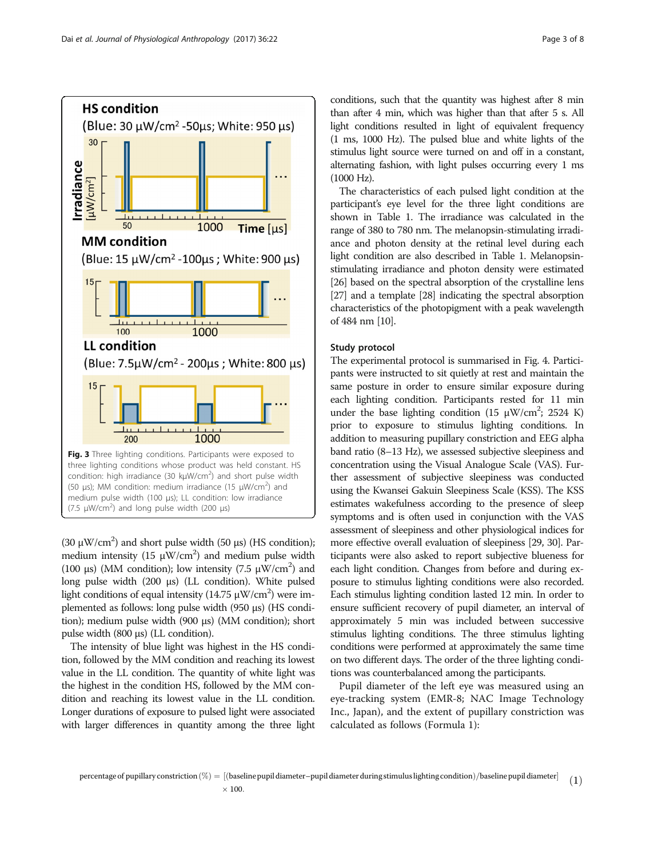<span id="page-2-0"></span>![](_page_2_Figure_2.jpeg)

(30  $\mu$ W/cm<sup>2</sup>) and short pulse width (50  $\mu$ s) (HS condition); medium intensity (15  $\mu$ W/cm<sup>2</sup>) and medium pulse width (100 μs) (MM condition); low intensity (7.5  $\mu$ W/cm<sup>2</sup>) and long pulse width (200 μs) (LL condition). White pulsed light conditions of equal intensity (14.75  $\mu$ W/cm<sup>2</sup>) were implemented as follows: long pulse width (950 μs) (HS condition); medium pulse width (900 μs) (MM condition); short pulse width (800 μs) (LL condition).

The intensity of blue light was highest in the HS condition, followed by the MM condition and reaching its lowest value in the LL condition. The quantity of white light was the highest in the condition HS, followed by the MM condition and reaching its lowest value in the LL condition. Longer durations of exposure to pulsed light were associated with larger differences in quantity among the three light

conditions, such that the quantity was highest after 8 min than after 4 min, which was higher than that after 5 s. All light conditions resulted in light of equivalent frequency (1 ms, 1000 Hz). The pulsed blue and white lights of the stimulus light source were turned on and off in a constant, alternating fashion, with light pulses occurring every 1 ms (1000 Hz).

The characteristics of each pulsed light condition at the participant's eye level for the three light conditions are shown in Table [1.](#page-3-0) The irradiance was calculated in the range of 380 to 780 nm. The melanopsin-stimulating irradiance and photon density at the retinal level during each light condition are also described in Table [1](#page-3-0). Melanopsinstimulating irradiance and photon density were estimated [[26](#page-7-0)] based on the spectral absorption of the crystalline lens [[27](#page-7-0)] and a template [[28\]](#page-7-0) indicating the spectral absorption characteristics of the photopigment with a peak wavelength of 484 nm [[10](#page-7-0)].

# Study protocol

The experimental protocol is summarised in Fig. [4.](#page-4-0) Participants were instructed to sit quietly at rest and maintain the same posture in order to ensure similar exposure during each lighting condition. Participants rested for 11 min under the base lighting condition (15  $\mu$ W/cm<sup>2</sup>; 2524 K) prior to exposure to stimulus lighting conditions. In addition to measuring pupillary constriction and EEG alpha band ratio (8–13 Hz), we assessed subjective sleepiness and concentration using the Visual Analogue Scale (VAS). Further assessment of subjective sleepiness was conducted using the Kwansei Gakuin Sleepiness Scale (KSS). The KSS estimates wakefulness according to the presence of sleep symptoms and is often used in conjunction with the VAS assessment of sleepiness and other physiological indices for more effective overall evaluation of sleepiness [\[29, 30](#page-7-0)]. Participants were also asked to report subjective blueness for each light condition. Changes from before and during exposure to stimulus lighting conditions were also recorded. Each stimulus lighting condition lasted 12 min. In order to ensure sufficient recovery of pupil diameter, an interval of approximately 5 min was included between successive stimulus lighting conditions. The three stimulus lighting conditions were performed at approximately the same time on two different days. The order of the three lighting conditions was counterbalanced among the participants.

Pupil diameter of the left eye was measured using an eye-tracking system (EMR-8; NAC Image Technology Inc., Japan), and the extent of pupillary constriction was calculated as follows (Formula 1):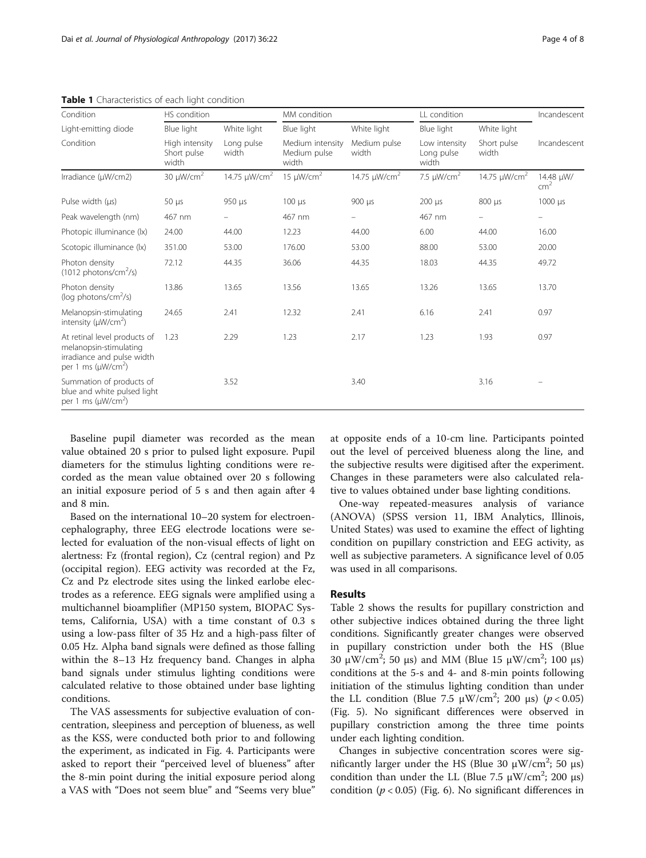| Condition                                                                                                                    | HS condition                           |                          | MM condition                              |                          | LL condition                         |                          | Incandescent                 |
|------------------------------------------------------------------------------------------------------------------------------|----------------------------------------|--------------------------|-------------------------------------------|--------------------------|--------------------------------------|--------------------------|------------------------------|
| Light-emitting diode                                                                                                         | Blue light                             | White light              | Blue light                                | White light              | Blue light                           | White light              |                              |
| Condition                                                                                                                    | High intensity<br>Short pulse<br>width | Long pulse<br>width      | Medium intensity<br>Medium pulse<br>width | Medium pulse<br>width    | Low intensity<br>Long pulse<br>width | Short pulse<br>width     | Incandescent                 |
| Irradiance (µW/cm2)                                                                                                          | 30 $\mu$ W/cm <sup>2</sup>             | 14.75 µW/cm <sup>2</sup> | 15 $\mu$ W/cm <sup>2</sup>                | 14.75 µW/cm <sup>2</sup> | 7.5 $\mu$ W/cm <sup>2</sup>          | 14.75 µW/cm <sup>2</sup> | 14.48 µW/<br>cm <sup>2</sup> |
| Pulse width (us)                                                                                                             | $50 \mu s$                             | 950 µs                   | $100 \mu s$                               | 900 µs                   | $200 \mu s$                          | 800 µs                   | $1000 \mu s$                 |
| Peak wavelength (nm)                                                                                                         | 467 nm                                 |                          | 467 nm                                    |                          | 467 nm                               |                          |                              |
| Photopic illuminance (lx)                                                                                                    | 24.00                                  | 44.00                    | 12.23                                     | 44.00                    | 6.00                                 | 44.00                    | 16.00                        |
| Scotopic illuminance (lx)                                                                                                    | 351.00                                 | 53.00                    | 176.00                                    | 53.00                    | 88.00                                | 53.00                    | 20.00                        |
| Photon density<br>$(1012 \text{ photons/cm}^2/\text{s})$                                                                     | 72.12                                  | 44.35                    | 36.06                                     | 44.35                    | 18.03                                | 44.35                    | 49.72                        |
| Photon density<br>(log photons/cm <sup>2</sup> /s)                                                                           | 13.86                                  | 13.65                    | 13.56                                     | 13.65                    | 13.26                                | 13.65                    | 13.70                        |
| Melanopsin-stimulating<br>intensity ( $\mu$ W/cm <sup>2</sup> )                                                              | 24.65                                  | 2.41                     | 12.32                                     | 2.41                     | 6.16                                 | 2.41                     | 0.97                         |
| At retinal level products of<br>melanopsin-stimulating<br>irradiance and pulse width<br>per 1 ms ( $\mu$ W/cm <sup>2</sup> ) | 1.23                                   | 2.29                     | 1.23                                      | 2.17                     | 1.23                                 | 1.93                     | 0.97                         |
| Summation of products of<br>blue and white pulsed light<br>per 1 ms ( $\mu$ W/cm <sup>2</sup> )                              |                                        | 3.52                     |                                           | 3.40                     |                                      | 3.16                     |                              |

<span id="page-3-0"></span>Table 1 Characteristics of each light condition

Baseline pupil diameter was recorded as the mean value obtained 20 s prior to pulsed light exposure. Pupil diameters for the stimulus lighting conditions were recorded as the mean value obtained over 20 s following an initial exposure period of 5 s and then again after 4 and 8 min.

Based on the international 10–20 system for electroencephalography, three EEG electrode locations were selected for evaluation of the non-visual effects of light on alertness: Fz (frontal region), Cz (central region) and Pz (occipital region). EEG activity was recorded at the Fz, Cz and Pz electrode sites using the linked earlobe electrodes as a reference. EEG signals were amplified using a multichannel bioamplifier (MP150 system, BIOPAC Systems, California, USA) with a time constant of 0.3 s using a low-pass filter of 35 Hz and a high-pass filter of 0.05 Hz. Alpha band signals were defined as those falling within the 8–13 Hz frequency band. Changes in alpha band signals under stimulus lighting conditions were calculated relative to those obtained under base lighting conditions.

The VAS assessments for subjective evaluation of concentration, sleepiness and perception of blueness, as well as the KSS, were conducted both prior to and following the experiment, as indicated in Fig. [4](#page-4-0). Participants were asked to report their "perceived level of blueness" after the 8-min point during the initial exposure period along a VAS with "Does not seem blue" and "Seems very blue" at opposite ends of a 10-cm line. Participants pointed out the level of perceived blueness along the line, and the subjective results were digitised after the experiment. Changes in these parameters were also calculated relative to values obtained under base lighting conditions.

One-way repeated-measures analysis of variance (ANOVA) (SPSS version 11, IBM Analytics, Illinois, United States) was used to examine the effect of lighting condition on pupillary constriction and EEG activity, as well as subjective parameters. A significance level of 0.05 was used in all comparisons.

# Results

Table [2](#page-4-0) shows the results for pupillary constriction and other subjective indices obtained during the three light conditions. Significantly greater changes were observed in pupillary constriction under both the HS (Blue 30 μW/cm<sup>2</sup>; 50 μs) and MM (Blue 15 μW/cm<sup>2</sup>; 100 μs) conditions at the 5-s and 4- and 8-min points following initiation of the stimulus lighting condition than under the LL condition (Blue 7.5 μW/cm<sup>2</sup>; 200 μs) ( $p < 0.05$ ) (Fig. [5\)](#page-5-0). No significant differences were observed in pupillary constriction among the three time points under each lighting condition.

Changes in subjective concentration scores were significantly larger under the HS (Blue 30 μW/cm<sup>2</sup>; 50 μs) condition than under the LL (Blue 7.5 μW/cm<sup>2</sup>; 200 μs) condition ( $p < 0.05$ ) (Fig. [6\)](#page-5-0). No significant differences in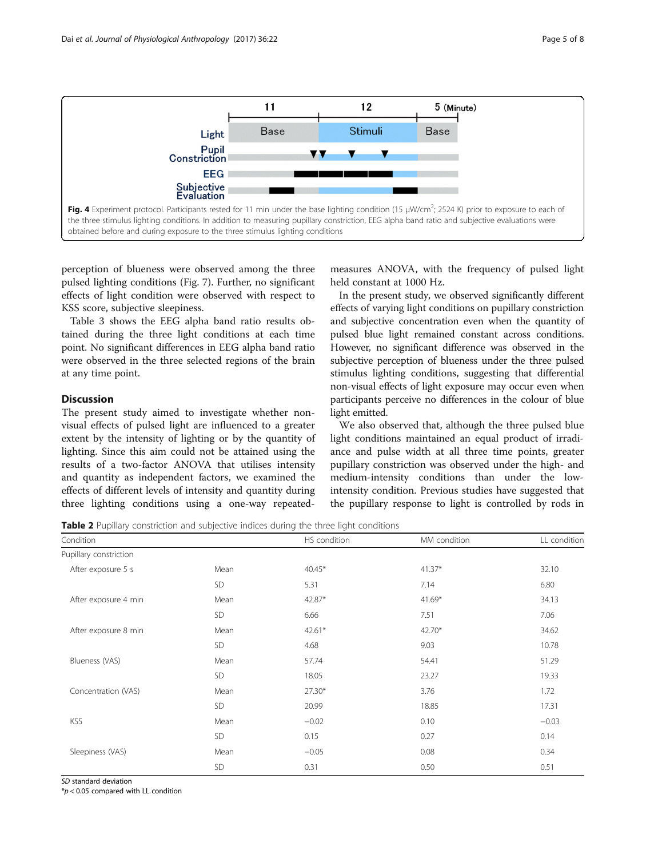<span id="page-4-0"></span>![](_page_4_Figure_1.jpeg)

perception of blueness were observed among the three pulsed lighting conditions (Fig. [7\)](#page-5-0). Further, no significant effects of light condition were observed with respect to KSS score, subjective sleepiness.

Table [3](#page-6-0) shows the EEG alpha band ratio results obtained during the three light conditions at each time point. No significant differences in EEG alpha band ratio were observed in the three selected regions of the brain at any time point.

# Discussion

The present study aimed to investigate whether nonvisual effects of pulsed light are influenced to a greater extent by the intensity of lighting or by the quantity of lighting. Since this aim could not be attained using the results of a two-factor ANOVA that utilises intensity and quantity as independent factors, we examined the effects of different levels of intensity and quantity during three lighting conditions using a one-way repeated-

measures ANOVA, with the frequency of pulsed light held constant at 1000 Hz.

In the present study, we observed significantly different effects of varying light conditions on pupillary constriction and subjective concentration even when the quantity of pulsed blue light remained constant across conditions. However, no significant difference was observed in the subjective perception of blueness under the three pulsed stimulus lighting conditions, suggesting that differential non-visual effects of light exposure may occur even when participants perceive no differences in the colour of blue light emitted.

We also observed that, although the three pulsed blue light conditions maintained an equal product of irradiance and pulse width at all three time points, greater pupillary constriction was observed under the high- and medium-intensity conditions than under the lowintensity condition. Previous studies have suggested that the pupillary response to light is controlled by rods in

**Table 2** Pupillary constriction and subjective indices during the three light conditions

| Condition              |      | HS condition | MM condition | LL condition |
|------------------------|------|--------------|--------------|--------------|
| Pupillary constriction |      |              |              |              |
| After exposure 5 s     | Mean | $40.45*$     | $41.37*$     | 32.10        |
|                        | SD   | 5.31         | 7.14         | 6.80         |
| After exposure 4 min   | Mean | 42.87*       | $41.69*$     | 34.13        |
|                        | SD   | 6.66         | 7.51         | 7.06         |
| After exposure 8 min   | Mean | $42.61*$     | 42.70*       | 34.62        |
|                        | SD.  | 4.68         | 9.03         | 10.78        |
| Blueness (VAS)         | Mean | 57.74        | 54.41        | 51.29        |
|                        | SD   | 18.05        | 23.27        | 19.33        |
| Concentration (VAS)    | Mean | $27.30*$     | 3.76         | 1.72         |
|                        | SD   | 20.99        | 18.85        | 17.31        |
| <b>KSS</b>             | Mean | $-0.02$      | 0.10         | $-0.03$      |
|                        | SD   | 0.15         | 0.27         | 0.14         |
| Sleepiness (VAS)       | Mean | $-0.05$      | 0.08         | 0.34         |
|                        | SD   | 0.31         | 0.50         | 0.51         |

SD standard deviation

 $*p$  < 0.05 compared with LL condition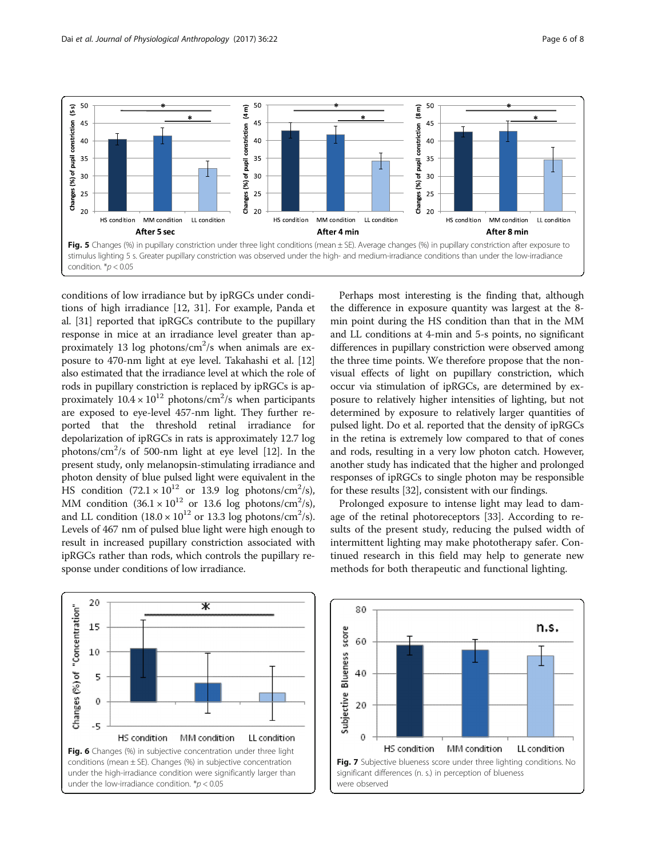<span id="page-5-0"></span>![](_page_5_Figure_2.jpeg)

conditions of low irradiance but by ipRGCs under conditions of high irradiance [[12, 31\]](#page-7-0). For example, Panda et al. [\[31](#page-7-0)] reported that ipRGCs contribute to the pupillary response in mice at an irradiance level greater than approximately 13 log photons/cm<sup>2</sup>/s when animals are exposure to 470-nm light at eye level. Takahashi et al. [[12](#page-7-0)] also estimated that the irradiance level at which the role of rods in pupillary constriction is replaced by ipRGCs is approximately  $10.4 \times 10^{12}$  photons/cm<sup>2</sup>/s when participants are exposed to eye-level 457-nm light. They further reported that the threshold retinal irradiance for depolarization of ipRGCs in rats is approximately 12.7 log photons/cm<sup>2</sup>/s of 500-nm light at eye level [[12](#page-7-0)]. In the present study, only melanopsin-stimulating irradiance and photon density of blue pulsed light were equivalent in the HS condition  $(72.1 \times 10^{12} \text{ or } 13.9 \text{ log photons/cm}^2/\text{s})$ , MM condition  $(36.1 \times 10^{12} \text{ or } 13.6 \text{ log photons/cm}^2/\text{s})$ , and LL condition  $(18.0 \times 10^{12} \text{ or } 13.3 \text{ log photons/cm}^2/\text{s}).$ Levels of 467 nm of pulsed blue light were high enough to result in increased pupillary constriction associated with ipRGCs rather than rods, which controls the pupillary response under conditions of low irradiance.

Perhaps most interesting is the finding that, although the difference in exposure quantity was largest at the 8 min point during the HS condition than that in the MM and LL conditions at 4-min and 5-s points, no significant differences in pupillary constriction were observed among the three time points. We therefore propose that the nonvisual effects of light on pupillary constriction, which occur via stimulation of ipRGCs, are determined by exposure to relatively higher intensities of lighting, but not determined by exposure to relatively larger quantities of pulsed light. Do et al. reported that the density of ipRGCs in the retina is extremely low compared to that of cones and rods, resulting in a very low photon catch. However, another study has indicated that the higher and prolonged responses of ipRGCs to single photon may be responsible for these results [[32\]](#page-7-0), consistent with our findings.

Prolonged exposure to intense light may lead to damage of the retinal photoreceptors [[33](#page-7-0)]. According to results of the present study, reducing the pulsed width of intermittent lighting may make phototherapy safer. Continued research in this field may help to generate new methods for both therapeutic and functional lighting.

![](_page_5_Figure_6.jpeg)

![](_page_5_Figure_7.jpeg)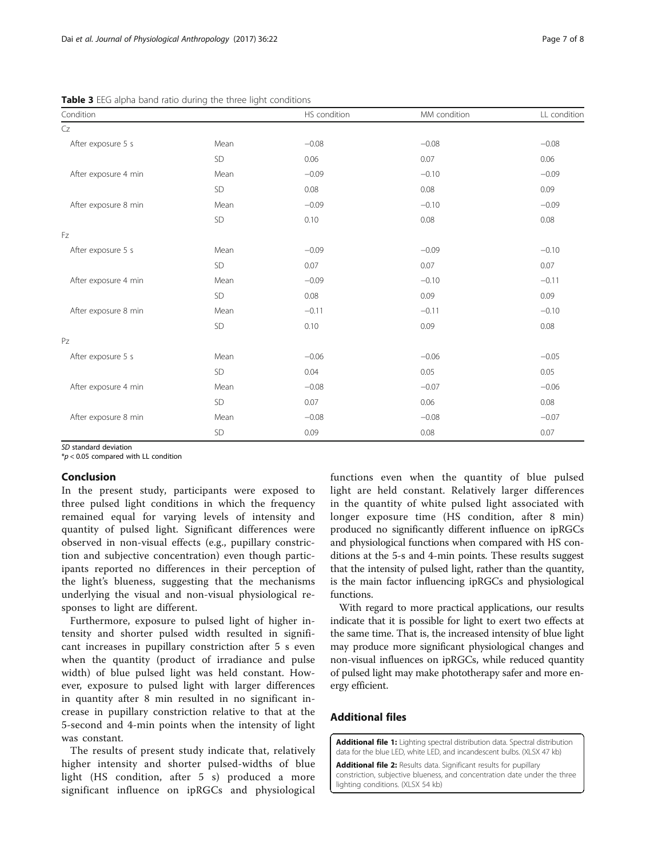<span id="page-6-0"></span>Table 3 EEG alpha band ratio during the three light conditions

| Condition            |            | HS condition | MM condition | LL condition |
|----------------------|------------|--------------|--------------|--------------|
| Cz                   |            |              |              |              |
| After exposure 5 s   | Mean       | $-0.08$      | $-0.08$      | $-0.08$      |
|                      | ${\sf SD}$ | 0.06         | 0.07         | 0.06         |
| After exposure 4 min | Mean       | $-0.09$      | $-0.10$      | $-0.09$      |
|                      | SD         | 0.08         | 0.08         | 0.09         |
| After exposure 8 min | Mean       | $-0.09$      | $-0.10$      | $-0.09$      |
|                      | SD         | 0.10         | 0.08         | 0.08         |
| Fz                   |            |              |              |              |
| After exposure 5 s   | Mean       | $-0.09$      | $-0.09$      | $-0.10$      |
|                      | SD         | 0.07         | 0.07         | 0.07         |
| After exposure 4 min | Mean       | $-0.09$      | $-0.10$      | $-0.11$      |
|                      | SD         | 0.08         | 0.09         | 0.09         |
| After exposure 8 min | Mean       | $-0.11$      | $-0.11$      | $-0.10$      |
|                      | SD         | 0.10         | 0.09         | 0.08         |
| PZ                   |            |              |              |              |
| After exposure 5 s   | Mean       | $-0.06$      | $-0.06$      | $-0.05$      |
|                      | SD         | 0.04         | 0.05         | 0.05         |
| After exposure 4 min | Mean       | $-0.08$      | $-0.07$      | $-0.06$      |
|                      | ${\sf SD}$ | 0.07         | 0.06         | 0.08         |
| After exposure 8 min | Mean       | $-0.08$      | $-0.08$      | $-0.07$      |
|                      | SD         | 0.09         | 0.08         | 0.07         |

*SD* standard deviation<br>\*n < 0.05 compared w

 $*p < 0.05$  compared with LL condition

# Conclusion

In the present study, participants were exposed to three pulsed light conditions in which the frequency remained equal for varying levels of intensity and quantity of pulsed light. Significant differences were observed in non-visual effects (e.g., pupillary constriction and subjective concentration) even though participants reported no differences in their perception of the light's blueness, suggesting that the mechanisms underlying the visual and non-visual physiological responses to light are different.

Furthermore, exposure to pulsed light of higher intensity and shorter pulsed width resulted in significant increases in pupillary constriction after 5 s even when the quantity (product of irradiance and pulse width) of blue pulsed light was held constant. However, exposure to pulsed light with larger differences in quantity after 8 min resulted in no significant increase in pupillary constriction relative to that at the 5-second and 4-min points when the intensity of light was constant.

The results of present study indicate that, relatively higher intensity and shorter pulsed-widths of blue light (HS condition, after 5 s) produced a more significant influence on ipRGCs and physiological

functions even when the quantity of blue pulsed light are held constant. Relatively larger differences in the quantity of white pulsed light associated with longer exposure time (HS condition, after 8 min) produced no significantly different influence on ipRGCs and physiological functions when compared with HS conditions at the 5-s and 4-min points. These results suggest that the intensity of pulsed light, rather than the quantity, is the main factor influencing ipRGCs and physiological functions.

With regard to more practical applications, our results indicate that it is possible for light to exert two effects at the same time. That is, the increased intensity of blue light may produce more significant physiological changes and non-visual influences on ipRGCs, while reduced quantity of pulsed light may make phototherapy safer and more energy efficient.

# Additional files

[Additional file 1:](dx.doi.org/10.1186/s40101-017-0137-7) Lighting spectral distribution data. Spectral distribution data for the blue LED, white LED, and incandescent bulbs. (XLSX 47 kb)

[Additional file 2:](dx.doi.org/10.1186/s40101-017-0137-7) Results data. Significant results for pupillary constriction, subjective blueness, and concentration date under the three lighting conditions. (XLSX 54 kb)